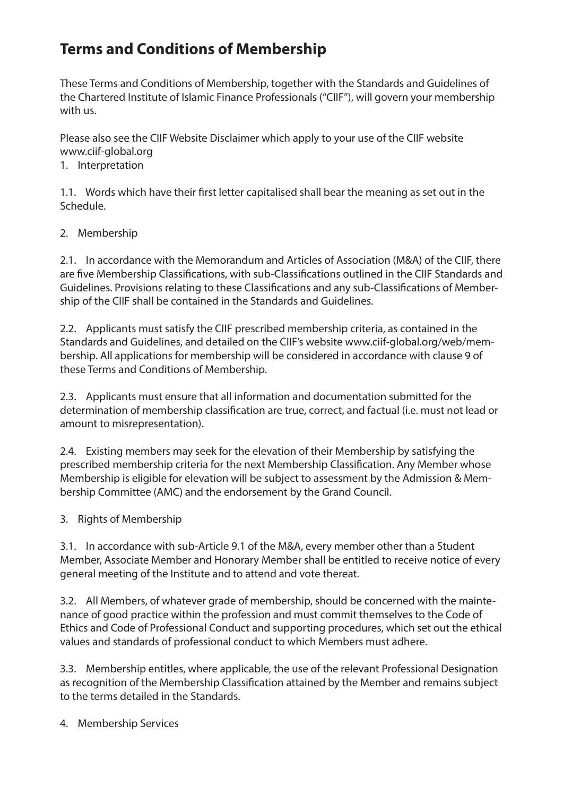# **Terms and Conditions of Membership**

These Terms and Conditions of Membership, together with the Standards and Guidelines of the Chartered Institute of Islamic Finance Professionals ("CIIF"), will govern your membership with us.

Please also see the CIIF Website Disclaimer which apply to your use of the CIIF website www.ciif-global.org

#### 1. Interpretation

1.1. Words which have their first letter capitalised shall bear the meaning as set out in the Schedule.

#### 2. Membership

2.1. In accordance with the Memorandum and Articles of Association (M&A) of the CIIF, there are five Membership Classifications, with sub-Classifications outlined in the CIIF Standards and Guidelines. Provisions relating to these Classifications and any sub-Classifications of Membership of the CIIF shall be contained in the Standards and Guidelines.

2.2. Applicants must satisfy the CIIF prescribed membership criteria, as contained in the Standards and Guidelines, and detailed on the CIIF's website www.ciif-global.org/web/membership. All applications for membership will be considered in accordance with clause 9 of these Terms and Conditions of Membership.

2.3. Applicants must ensure that all information and documentation submitted for the determination of membership classification are true, correct, and factual (i.e. must not lead or amount to misrepresentation).

2.4. Existing members may seek for the elevation of their Membership by satisfying the prescribed membership criteria for the next Membership Classification. Any Member whose Membership is eligible for elevation will be subject to assessment by the Admission & Membership Committee (AMC) and the endorsement by the Grand Council.

3. Rights of Membership

3.1. In accordance with sub-Article 9.1 of the M&A, every member other than a Student Member, Associate Member and Honorary Member shall be entitled to receive notice of every general meeting of the Institute and to attend and vote thereat.

3.2. All Members, of whatever grade of membership, should be concerned with the maintenance of good practice within the profession and must commit themselves to the Code of Ethics and Code of Professional Conduct and supporting procedures, which set out the ethical values and standards of professional conduct to which Members must adhere.

3.3. Membership entitles, where applicable, the use of the relevant Professional Designation as recognition of the Membership Classification attained by the Member and remains subject to the terms detailed in the Standards.

4. Membership Services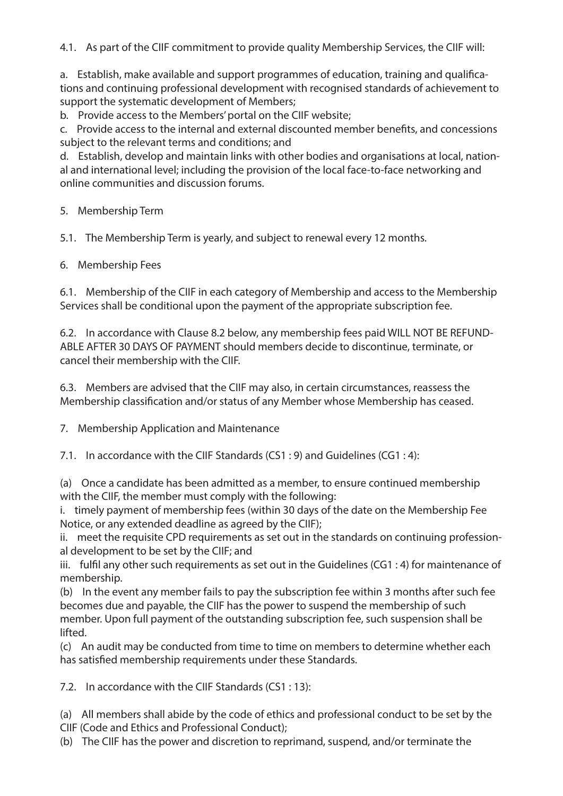4.1. As part of the CIIF commitment to provide quality Membership Services, the CIIF will:

a. Establish, make available and support programmes of education, training and qualications and continuing professional development with recognised standards of achievement to support the systematic development of Members;

b. Provide access to the Members' portal on the CIIF website;

c. Provide access to the internal and external discounted member benefits, and concessions subject to the relevant terms and conditions; and

d. Establish, develop and maintain links with other bodies and organisations at local, national and international level; including the provision of the local face-to-face networking and online communities and discussion forums.

5. Membership Term

5.1. The Membership Term is yearly, and subject to renewal every 12 months.

6. Membership Fees

6.1. Membership of the CIIF in each category of Membership and access to the Membership Services shall be conditional upon the payment of the appropriate subscription fee.

6.2. In accordance with Clause 8.2 below, any membership fees paid WILL NOT BE REFUND-ABLE AFTER 30 DAYS OF PAYMENT should members decide to discontinue, terminate, or cancel their membership with the CIIF.

6.3. Members are advised that the CIIF may also, in certain circumstances, reassess the Membership classification and/or status of any Member whose Membership has ceased.

7. Membership Application and Maintenance

7.1. In accordance with the CIIF Standards (CS1 : 9) and Guidelines (CG1 : 4):

(a) Once a candidate has been admitted as a member, to ensure continued membership with the CIIF, the member must comply with the following:

i. timely payment of membership fees (within 30 days of the date on the Membership Fee Notice, or any extended deadline as agreed by the CIIF);

ii. meet the requisite CPD requirements as set out in the standards on continuing professional development to be set by the CIIF; and

iii. fulfil any other such requirements as set out in the Guidelines (CG1 : 4) for maintenance of membership.

(b) In the event any member fails to pay the subscription fee within 3 months after such fee becomes due and payable, the CIIF has the power to suspend the membership of such member. Upon full payment of the outstanding subscription fee, such suspension shall be lifted.

(c) An audit may be conducted from time to time on members to determine whether each has satisfied membership requirements under these Standards.

7.2. In accordance with the CIIF Standards (CS1 : 13):

(a) All members shall abide by the code of ethics and professional conduct to be set by the CIIF (Code and Ethics and Professional Conduct);

(b) The CIIF has the power and discretion to reprimand, suspend, and/or terminate the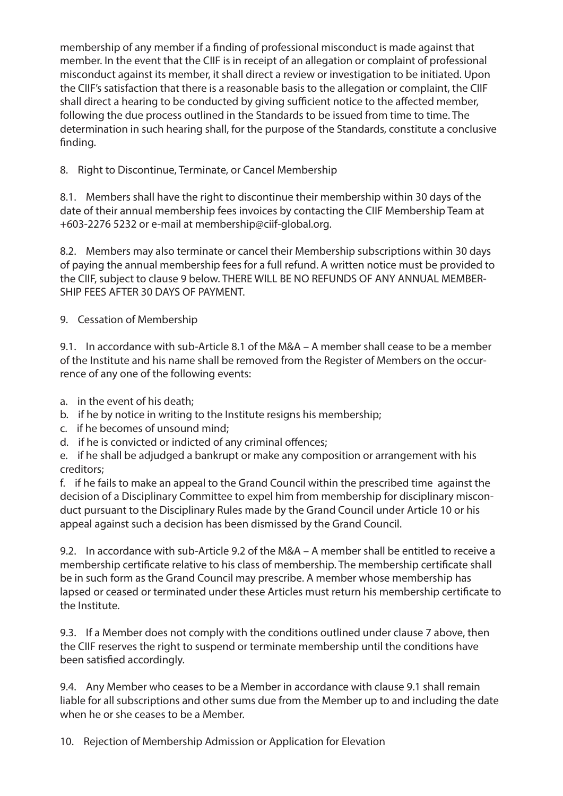membership of any member if a finding of professional misconduct is made against that member. In the event that the CIIF is in receipt of an allegation or complaint of professional misconduct against its member, it shall direct a review or investigation to be initiated. Upon the CIIF's satisfaction that there is a reasonable basis to the allegation or complaint, the CIIF shall direct a hearing to be conducted by giving sufficient notice to the affected member, following the due process outlined in the Standards to be issued from time to time. The determination in such hearing shall, for the purpose of the Standards, constitute a conclusive finding.

8. Right to Discontinue, Terminate, or Cancel Membership

8.1. Members shall have the right to discontinue their membership within 30 days of the date of their annual membership fees invoices by contacting the CIIF Membership Team at +603-2276 5232 or e-mail at membership@ciif-global.org.

8.2. Members may also terminate or cancel their Membership subscriptions within 30 days of paying the annual membership fees for a full refund. A written notice must be provided to the CIIF, subject to clause 9 below. THERE WILL BE NO REFUNDS OF ANY ANNUAL MEMBER-SHIP FEES AFTER 30 DAYS OF PAYMENT.

9. Cessation of Membership

9.1. In accordance with sub-Article 8.1 of the M&A – A member shall cease to be a member of the Institute and his name shall be removed from the Register of Members on the occurrence of any one of the following events:

- a. in the event of his death;
- b. if he by notice in writing to the Institute resigns his membership;
- c. if he becomes of unsound mind;
- d. if he is convicted or indicted of any criminal offences;

e. if he shall be adjudged a bankrupt or make any composition or arrangement with his creditors;

f. if he fails to make an appeal to the Grand Council within the prescribed time against the decision of a Disciplinary Committee to expel him from membership for disciplinary misconduct pursuant to the Disciplinary Rules made by the Grand Council under Article 10 or his appeal against such a decision has been dismissed by the Grand Council.

9.2. In accordance with sub-Article 9.2 of the M&A – A member shall be entitled to receive a membership certificate relative to his class of membership. The membership certificate shall be in such form as the Grand Council may prescribe. A member whose membership has lapsed or ceased or terminated under these Articles must return his membership certificate to the Institute.

9.3. If a Member does not comply with the conditions outlined under clause 7 above, then the CIIF reserves the right to suspend or terminate membership until the conditions have been satisfied accordingly.

9.4. Any Member who ceases to be a Member in accordance with clause 9.1 shall remain liable for all subscriptions and other sums due from the Member up to and including the date when he or she ceases to be a Member.

10. Rejection of Membership Admission or Application for Elevation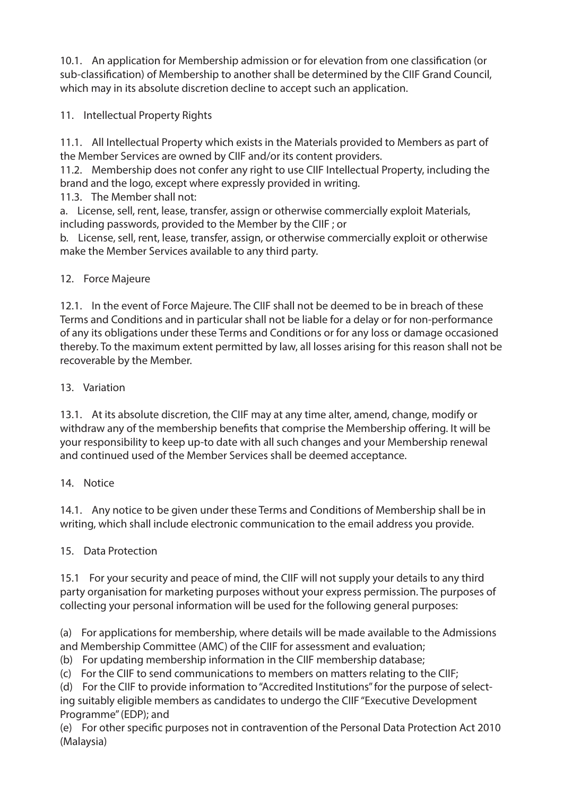10.1. An application for Membership admission or for elevation from one classification (or sub-classification) of Membership to another shall be determined by the CIIF Grand Council, which may in its absolute discretion decline to accept such an application.

11. Intellectual Property Rights

11.1. All Intellectual Property which exists in the Materials provided to Members as part of the Member Services are owned by CIIF and/or its content providers.

11.2. Membership does not confer any right to use CIIF Intellectual Property, including the brand and the logo, except where expressly provided in writing.

11.3. The Member shall not:

a. License, sell, rent, lease, transfer, assign or otherwise commercially exploit Materials, including passwords, provided to the Member by the CIIF ; or

b. License, sell, rent, lease, transfer, assign, or otherwise commercially exploit or otherwise make the Member Services available to any third party.

## 12. Force Majeure

12.1. In the event of Force Majeure. The CIIF shall not be deemed to be in breach of these Terms and Conditions and in particular shall not be liable for a delay or for non-performance of any its obligations under these Terms and Conditions or for any loss or damage occasioned thereby. To the maximum extent permitted by law, all losses arising for this reason shall not be recoverable by the Member.

## 13. Variation

13.1. At its absolute discretion, the CIIF may at any time alter, amend, change, modify or withdraw any of the membership benefits that comprise the Membership offering. It will be your responsibility to keep up-to date with all such changes and your Membership renewal and continued used of the Member Services shall be deemed acceptance.

#### 14. Notice

14.1. Any notice to be given under these Terms and Conditions of Membership shall be in writing, which shall include electronic communication to the email address you provide.

# 15. Data Protection

15.1 For your security and peace of mind, the CIIF will not supply your details to any third party organisation for marketing purposes without your express permission. The purposes of collecting your personal information will be used for the following general purposes:

(a) For applications for membership, where details will be made available to the Admissions and Membership Committee (AMC) of the CIIF for assessment and evaluation;

(b) For updating membership information in the CIIF membership database;

(c) For the CIIF to send communications to members on matters relating to the CIIF;

(d) For the CIIF to provide information to "Accredited Institutions" for the purpose of selecting suitably eligible members as candidates to undergo the CIIF "Executive Development Programme" (EDP); and

(e) For other specific purposes not in contravention of the Personal Data Protection Act 2010 (Malaysia)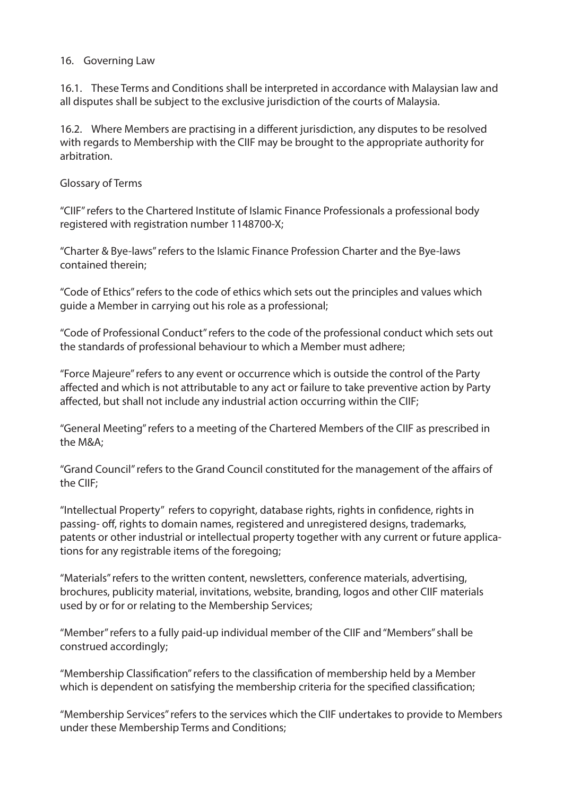#### 16. Governing Law

16.1. These Terms and Conditions shall be interpreted in accordance with Malaysian law and all disputes shall be subject to the exclusive jurisdiction of the courts of Malaysia.

16.2. Where Members are practising in a different jurisdiction, any disputes to be resolved with regards to Membership with the CIIF may be brought to the appropriate authority for arbitration.

Glossary of Terms

"CIIF" refers to the Chartered Institute of Islamic Finance Professionals a professional body registered with registration number 1148700-X;

"Charter & Bye-laws" refers to the Islamic Finance Profession Charter and the Bye-laws contained therein;

"Code of Ethics" refers to the code of ethics which sets out the principles and values which guide a Member in carrying out his role as a professional;

"Code of Professional Conduct" refers to the code of the professional conduct which sets out the standards of professional behaviour to which a Member must adhere;

"Force Majeure" refers to any event or occurrence which is outside the control of the Party affected and which is not attributable to any act or failure to take preventive action by Party affected, but shall not include any industrial action occurring within the CIIF;

"General Meeting" refers to a meeting of the Chartered Members of the CIIF as prescribed in the M&A;

"Grand Council" refers to the Grand Council constituted for the management of the affairs of the CIIF;

"Intellectual Property" refers to copyright, database rights, rights in confidence, rights in passing- off, rights to domain names, registered and unregistered designs, trademarks, patents or other industrial or intellectual property together with any current or future applications for any registrable items of the foregoing;

"Materials" refers to the written content, newsletters, conference materials, advertising, brochures, publicity material, invitations, website, branding, logos and other CIIF materials used by or for or relating to the Membership Services;

"Member" refers to a fully paid-up individual member of the CIIF and "Members" shall be construed accordingly;

"Membership Classification" refers to the classification of membership held by a Member which is dependent on satisfying the membership criteria for the specified classification;

"Membership Services" refers to the services which the CIIF undertakes to provide to Members under these Membership Terms and Conditions;